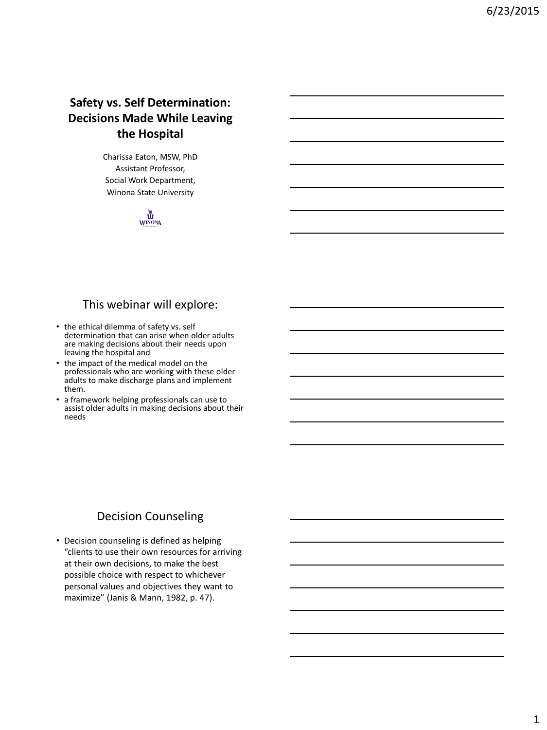# **Safety vs. Self Determination: Decisions Made While Leaving the Hospital**

Charissa Eaton, MSW, PhD Assistant Professor, Social Work Department, Winona State University

**WINONA** 

### This webinar will explore:

- the ethical dilemma of safety vs. self determination that can arise when older adults are making decisions about their needs upon leaving the hospital and
- the impact of the medical model on the professionals who are working with these older adults to make discharge plans and implement them.
- a framework helping professionals can use to assist older adults in making decisions about their needs

## Decision Counseling

• Decision counseling is defined as helping "clients to use their own resources for arriving at their own decisions, to make the best possible choice with respect to whichever personal values and objectives they want to maximize" (Janis & Mann, 1982, p. 47).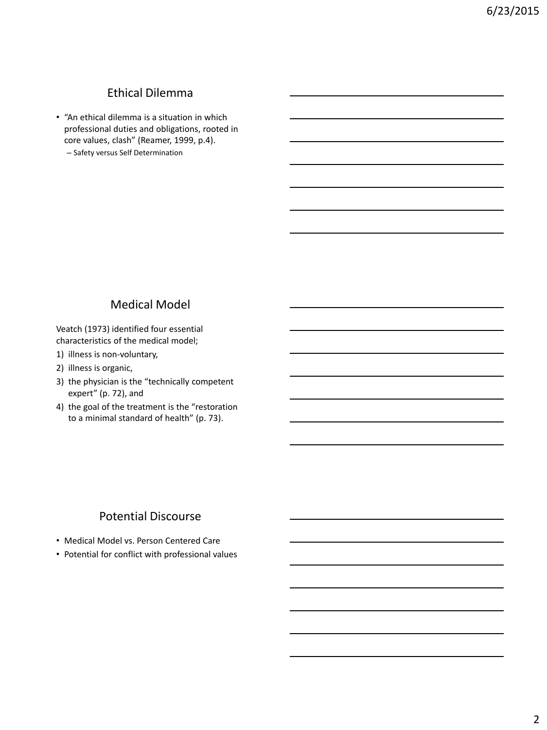## Ethical Dilemma

- "An ethical dilemma is a situation in which professional duties and obligations, rooted in core values, clash" (Reamer, 1999, p.4).
	- Safety versus Self Determination

## Medical Model

Veatch (1973) identified four essential characteristics of the medical model;

- 1) illness is non-voluntary,
- 2) illness is organic,
- 3) the physician is the "technically competent expert" (p. 72), and
- 4) the goal of the treatment is the "restoration to a minimal standard of health" (p. 73).

## Potential Discourse

- Medical Model vs. Person Centered Care
- Potential for conflict with professional values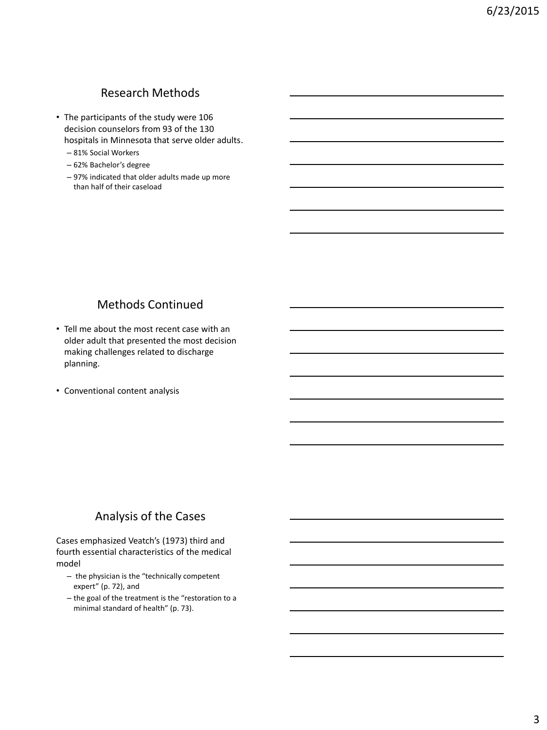### Research Methods

- The participants of the study were 106 decision counselors from 93 of the 130 hospitals in Minnesota that serve older adults.
	- 81% Social Workers
	- 62% Bachelor's degree
	- 97% indicated that older adults made up more than half of their caseload

## Methods Continued

- Tell me about the most recent case with an older adult that presented the most decision making challenges related to discharge planning.
- Conventional content analysis

### Analysis of the Cases

Cases emphasized Veatch's (1973) third and fourth essential characteristics of the medical model

- the physician is the "technically competent expert" (p. 72), and
- the goal of the treatment is the "restoration to a minimal standard of health" (p. 73).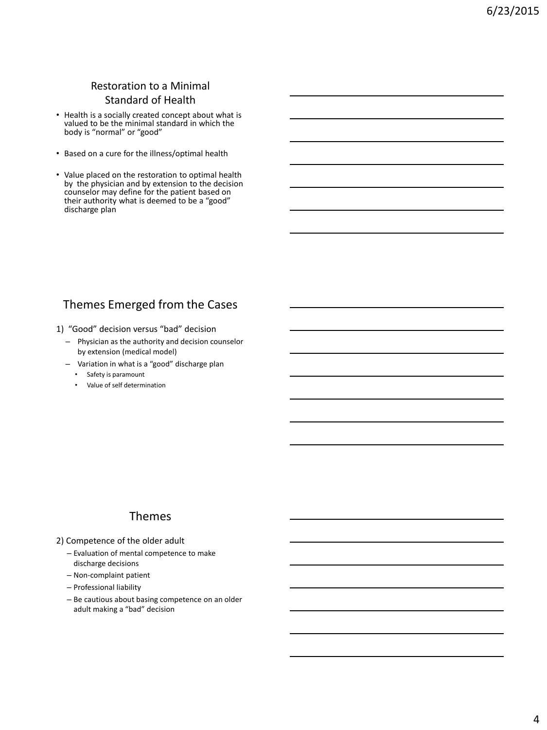## Restoration to a Minimal Standard of Health

- Health is a socially created concept about what is valued to be the minimal standard in which the body is "normal" or "good"
- Based on a cure for the illness/optimal health
- Value placed on the restoration to optimal health by the physician and by extension to the decision counselor may define for the patient based on their authority what is deemed to be a "good" discharge plan

# Themes Emerged from the Cases

- 1) "Good" decision versus "bad" decision
	- Physician as the authority and decision counselor by extension (medical model)
	- Variation in what is a "good" discharge plan
		- Safety is paramount
		- Value of self determination

### Themes

- 2) Competence of the older adult
	- Evaluation of mental competence to make discharge decisions
	- Non-complaint patient
	- Professional liability
	- Be cautious about basing competence on an older adult making a "bad" decision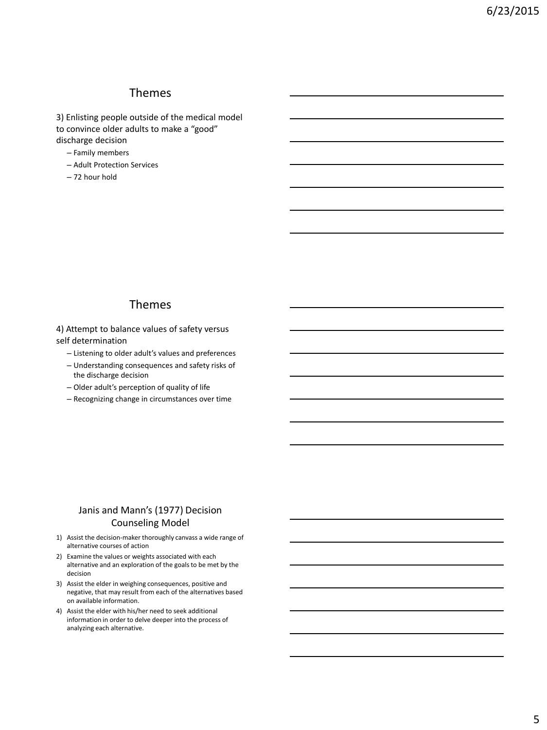#### Themes

3) Enlisting people outside of the medical model to convince older adults to make a "good" discharge decision

- Family members
- Adult Protection Services
- 72 hour hold

#### Themes

4) Attempt to balance values of safety versus self determination

- Listening to older adult's values and preferences
- Understanding consequences and safety risks of the discharge decision
- Older adult's perception of quality of life
- Recognizing change in circumstances over time

#### Janis and Mann's (1977) Decision Counseling Model

- 1) Assist the decision-maker thoroughly canvass a wide range of alternative courses of action
- 2) Examine the values or weights associated with each alternative and an exploration of the goals to be met by the decision
- 3) Assist the elder in weighing consequences, positive and negative, that may result from each of the alternatives based on available information.
- 4) Assist the elder with his/her need to seek additional information in order to delve deeper into the process of analyzing each alternative.